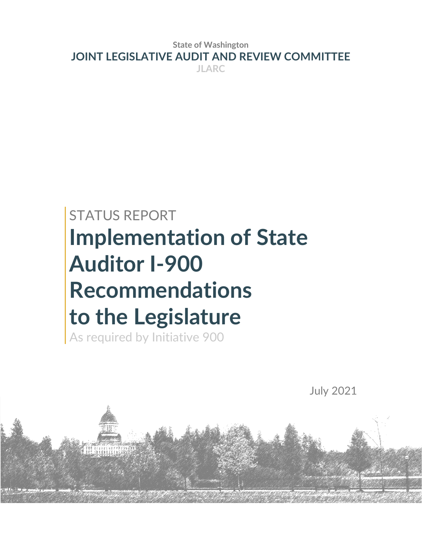**State of Washington JOINT LEGISLATIVE AUDIT AND REVIEW COMMITTEE JLARC**

# STATUS REPORT **Implementation of State Auditor I-900 Recommendations to the Legislature**

As required by Initiative 900

July 2021

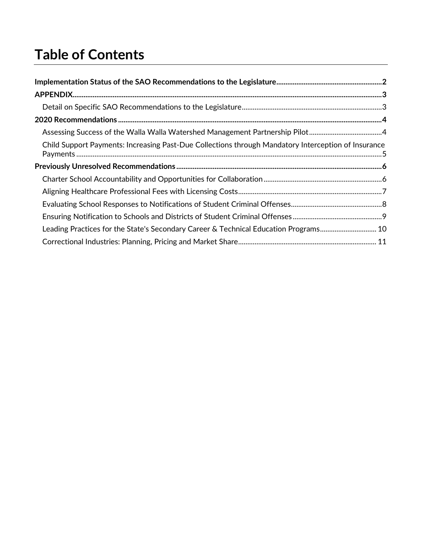## **Table of Contents**

| Assessing Success of the Walla Walla Watershed Management Partnership Pilot                         |  |
|-----------------------------------------------------------------------------------------------------|--|
| Child Support Payments: Increasing Past-Due Collections through Mandatory Interception of Insurance |  |
|                                                                                                     |  |
|                                                                                                     |  |
|                                                                                                     |  |
|                                                                                                     |  |
|                                                                                                     |  |
| Leading Practices for the State's Secondary Career & Technical Education Programs 10                |  |
|                                                                                                     |  |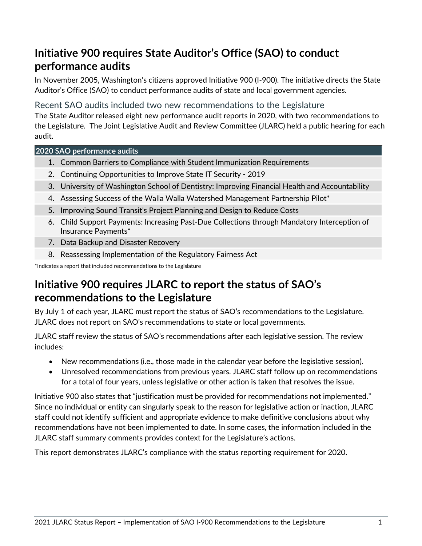## **Initiative 900 requires State Auditor's Office (SAO) to conduct performance audits**

In November 2005, Washington's citizens approved Initiative 900 (I-900). The initiative directs the State Auditor's Office (SAO) to conduct performance audits of state and local government agencies.

#### Recent SAO audits included two new recommendations to the Legislature

The State Auditor released eight new performance audit reports in 2020, with two recommendations to the Legislature. The Joint Legislative Audit and Review Committee (JLARC) held a public hearing for each audit.

#### **2020 SAO performance audits**

- 1. Common Barriers to Compliance with Student Immunization Requirements
- 2. Continuing Opportunities to Improve State IT Security 2019
- 3. University of Washington School of Dentistry: Improving Financial Health and Accountability
- 4. Assessing Success of the Walla Walla Watershed Management Partnership Pilot\*
- 5. Improving Sound Transit's Project Planning and Design to Reduce Costs
- 6. Child Support Payments: Increasing Past-Due Collections through Mandatory Interception of Insurance Payments\*
- 7. Data Backup and Disaster Recovery
- 8. Reassessing Implementation of the Regulatory Fairness Act

\*Indicates a report that included recommendations to the Legislature

## **Initiative 900 requires JLARC to report the status of SAO's recommendations to the Legislature**

By July 1 of each year, JLARC must report the status of SAO's recommendations to the Legislature. JLARC does not report on SAO's recommendations to state or local governments.

JLARC staff review the status of SAO's recommendations after each legislative session. The review includes:

- New recommendations (i.e., those made in the calendar year before the legislative session).
- Unresolved recommendations from previous years. JLARC staff follow up on recommendations for a total of four years, unless legislative or other action is taken that resolves the issue.

Initiative 900 also states that "justification must be provided for recommendations not implemented." Since no individual or entity can singularly speak to the reason for legislative action or inaction, JLARC staff could not identify sufficient and appropriate evidence to make definitive conclusions about why recommendations have not been implemented to date. In some cases, the information included in the JLARC staff summary comments provides context for the Legislature's actions.

This report demonstrates JLARC's compliance with the status reporting requirement for 2020.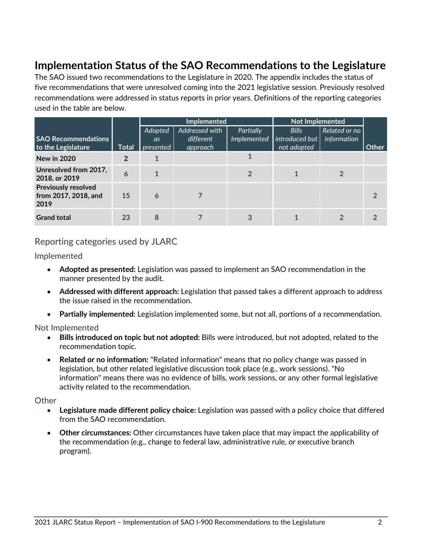## <span id="page-5-0"></span>**Implementation Status of the SAO Recommendations to the Legislature**

The SAO issued two recommendations to the Legislature in 2020. The appendix includes the status of five recommendations that were unresolved coming into the 2021 legislative session. Previously resolved recommendations were addressed in status reports in prior years. Definitions of the reporting categories used in the table are below.

|                                                            |       |                             | Implemented                             |                          | <b>Not Implemented</b>                        |                              |       |
|------------------------------------------------------------|-------|-----------------------------|-----------------------------------------|--------------------------|-----------------------------------------------|------------------------------|-------|
| <b>SAO Recommendations</b><br>to the Legislature           | Total | Adopted<br>as.<br>presented | Addressed with<br>different<br>approach | Partially<br>Implemented | <b>Bills</b><br>introduced but<br>not adopted | Related or no<br>information | Other |
| <b>New in 2020</b>                                         | 2     |                             |                                         |                          |                                               |                              |       |
| Unresolved from 2017,<br>2018, or 2019                     | 6     |                             |                                         | 2                        |                                               |                              |       |
| <b>Previously resolved</b><br>from 2017, 2018, and<br>2019 | 15    | 6                           |                                         |                          |                                               |                              | 2     |
| <b>Grand total</b>                                         | 23    | 8                           |                                         | 3                        |                                               |                              |       |

#### Reporting categories used by JLARC

Implemented

- **Adopted as presented:** Legislation was passed to implement an SAO recommendation in the manner presented by the audit.
- **Addressed with different approach:** Legislation that passed takes a different approach to address the issue raised in the recommendation.
- **Partially implemented:** Legislation implemented some, but not all, portions of a recommendation.

#### Not Implemented

- **Bills introduced on topic but not adopted:** Bills were introduced, but not adopted, related to the recommendation topic.
- **Related or no information:** "Related information" means that no policy change was passed in legislation, but other related legislative discussion took place (e.g., work sessions). "No information" means there was no evidence of bills, work sessions, or any other formal legislative activity related to the recommendation.

#### **Other**

- **Legislature made different policy choice:** Legislation was passed with a policy choice that differed from the SAO recommendation.
- **Other circumstances:** Other circumstances have taken place that may impact the applicability of the recommendation (e.g., change to federal law, administrative rule, or executive branch program).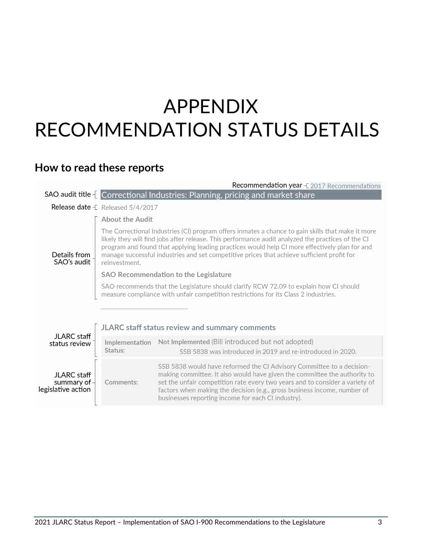## <span id="page-6-0"></span>APPENDIX RECOMMENDATION STATUS DETAILS

## <span id="page-6-1"></span>**How to read these reports**

|                                                          |                                                              | Recommendation year $\pm$ 2017 Recommendations                                                                                                                                                                                                                                                                                                                                                        |
|----------------------------------------------------------|--------------------------------------------------------------|-------------------------------------------------------------------------------------------------------------------------------------------------------------------------------------------------------------------------------------------------------------------------------------------------------------------------------------------------------------------------------------------------------|
|                                                          |                                                              | SAO audit title [ Correctional Industries: Planning, pricing and market share                                                                                                                                                                                                                                                                                                                         |
|                                                          | <b>Release date</b> $\text{\textsterling}$ Released 5/4/2017 |                                                                                                                                                                                                                                                                                                                                                                                                       |
|                                                          | <b>About the Audit</b>                                       |                                                                                                                                                                                                                                                                                                                                                                                                       |
| Details from<br>SAO's audit                              | reinvestment.                                                | The Correctional Industries (CI) program offers inmates a chance to gain skills that make it more<br>likely they will find jobs after release. This performance audit analyzed the practices of the CI<br>program and found that applying leading practices would help CI more effectively plan for and<br>manage successful industries and set competitive prices that achieve sufficient profit for |
|                                                          |                                                              | <b>SAO Recommendation to the Legislature</b>                                                                                                                                                                                                                                                                                                                                                          |
|                                                          |                                                              | SAO recommends that the Legislature should clarify RCW 72.09 to explain how CI should<br>measure compliance with unfair competition restrictions for its Class 2 industries.                                                                                                                                                                                                                          |
|                                                          |                                                              |                                                                                                                                                                                                                                                                                                                                                                                                       |
|                                                          |                                                              | JLARC staff status review and summary comments                                                                                                                                                                                                                                                                                                                                                        |
| JLARC staff<br>status review                             | Implementation<br>Status:                                    | Not Implemented (Bill introduced but not adopted)<br>SSB 5838 was introduced in 2019 and re-introduced in 2020.                                                                                                                                                                                                                                                                                       |
| <b>JLARC</b> staff<br>summary of -<br>legislative action | Comments:                                                    | SSB 5838 would have reformed the CI Advisory Committee to a decision-<br>making committee. It also would have given the committee the authority to<br>set the unfair competition rate every two years and to consider a variety of<br>factors when making the decision (e.g., gross business income, number of<br>businesses reporting income for each CI industry).                                  |
|                                                          |                                                              |                                                                                                                                                                                                                                                                                                                                                                                                       |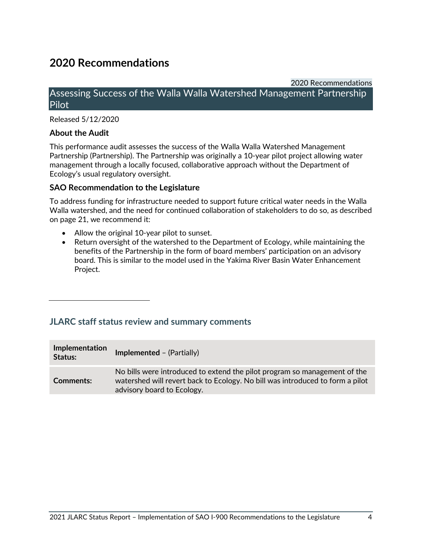## <span id="page-7-0"></span>**2020 Recommendations**

#### 2020 Recommendations

#### <span id="page-7-1"></span>Assessing Success of the Walla Walla Watershed Management Partnership Pilot

Released 5/12/2020

#### **About the Audit**

This performance audit assesses the success of the Walla Walla Watershed Management Partnership (Partnership). The Partnership was originally a 10-year pilot project allowing water management through a locally focused, collaborative approach without the Department of Ecology's usual regulatory oversight.

#### **SAO Recommendation to the Legislature**

To address funding for infrastructure needed to support future critical water needs in the Walla Walla watershed, and the need for continued collaboration of stakeholders to do so, as described on page 21, we recommend it:

- Allow the original 10-year pilot to sunset.
- Return oversight of the watershed to the Department of Ecology, while maintaining the benefits of the Partnership in the form of board members' participation on an advisory board. This is similar to the model used in the Yakima River Basin Water Enhancement Project.

| Implementation<br>Status: | <b>Implemented - (Partially)</b>                                                                                                                                                         |
|---------------------------|------------------------------------------------------------------------------------------------------------------------------------------------------------------------------------------|
| <b>Comments:</b>          | No bills were introduced to extend the pilot program so management of the<br>watershed will revert back to Ecology. No bill was introduced to form a pilot<br>advisory board to Ecology. |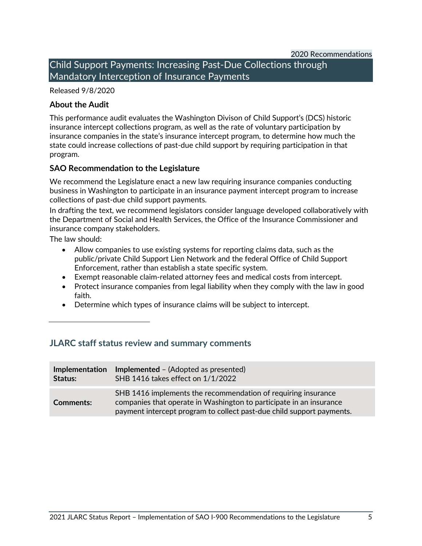2020 Recommendations

<span id="page-8-0"></span>Child Support Payments: Increasing Past-Due Collections through Mandatory Interception of Insurance Payments

#### Released 9/8/2020

#### **About the Audit**

This performance audit evaluates the Washington Divison of Child Support's (DCS) historic insurance intercept collections program, as well as the rate of voluntary participation by insurance companies in the state's insurance intercept program, to determine how much the state could increase collections of past-due child support by requiring participation in that program.

#### **SAO Recommendation to the Legislature**

We recommend the Legislature enact a new law requiring insurance companies conducting business in Washington to participate in an insurance payment intercept program to increase collections of past-due child support payments.

In drafting the text, we recommend legislators consider language developed collaboratively with the Department of Social and Health Services, the Office of the Insurance Commissioner and insurance company stakeholders.

The law should:

- Allow companies to use existing systems for reporting claims data, such as the public/private Child Support Lien Network and the federal Office of Child Support Enforcement, rather than establish a state specific system.
- Exempt reasonable claim-related attorney fees and medical costs from intercept.
- Protect insurance companies from legal liability when they comply with the law in good faith.
- Determine which types of insurance claims will be subject to intercept.

| <b>Implementation</b> | <b>Implemented</b> – (Adopted as presented)                                                                                                                                                                   |
|-----------------------|---------------------------------------------------------------------------------------------------------------------------------------------------------------------------------------------------------------|
| Status:               | SHB 1416 takes effect on 1/1/2022                                                                                                                                                                             |
| <b>Comments:</b>      | SHB 1416 implements the recommendation of requiring insurance<br>companies that operate in Washington to participate in an insurance<br>payment intercept program to collect past-due child support payments. |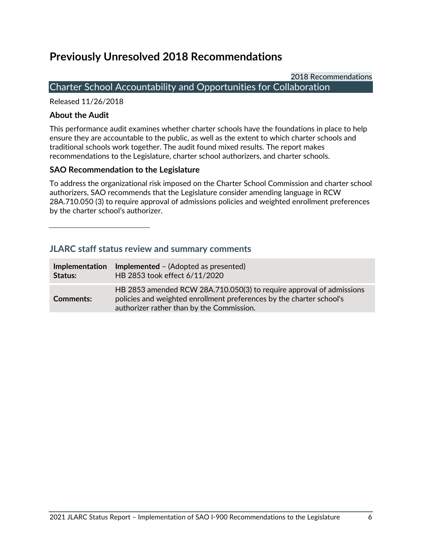## <span id="page-9-0"></span>**Previously Unresolved 2018 Recommendations**

2018 Recommendations

#### <span id="page-9-1"></span>Charter School Accountability and Opportunities for Collaboration

Released 11/26/2018

#### **About the Audit**

This performance audit examines whether charter schools have the foundations in place to help ensure they are accountable to the public, as well as the extent to which charter schools and traditional schools work together. The audit found mixed results. The report makes recommendations to the Legislature, charter school authorizers, and charter schools.

#### **SAO Recommendation to the Legislature**

To address the organizational risk imposed on the Charter School Commission and charter school authorizers, SAO recommends that the Legislature consider amending language in RCW 28A.710.050 (3) to require approval of admissions policies and weighted enrollment preferences by the charter school's authorizer.

| <b>Implementation</b> | <b>Implemented</b> – (Adopted as presented)                                                                                                                                               |
|-----------------------|-------------------------------------------------------------------------------------------------------------------------------------------------------------------------------------------|
| Status:               | HB 2853 took effect 6/11/2020                                                                                                                                                             |
| <b>Comments:</b>      | HB 2853 amended RCW 28A.710.050(3) to require approval of admissions<br>policies and weighted enrollment preferences by the charter school's<br>authorizer rather than by the Commission. |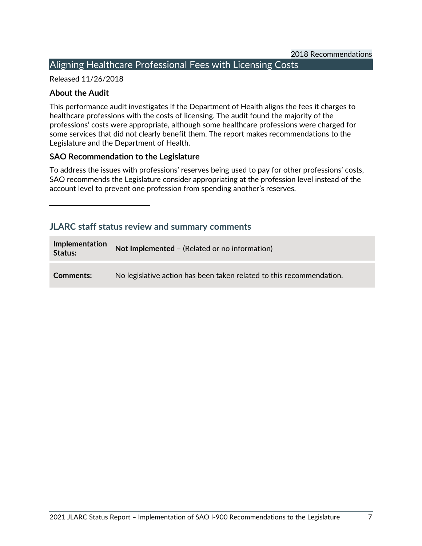### <span id="page-10-0"></span>Aligning Healthcare Professional Fees with Licensing Costs

#### Released 11/26/2018

#### **About the Audit**

This performance audit investigates if the Department of Health aligns the fees it charges to healthcare professions with the costs of licensing. The audit found the majority of the professions' costs were appropriate, although some healthcare professions were charged for some services that did not clearly benefit them. The report makes recommendations to the Legislature and the Department of Health.

#### **SAO Recommendation to the Legislature**

To address the issues with professions' reserves being used to pay for other professions' costs, SAO recommends the Legislature consider appropriating at the profession level instead of the account level to prevent one profession from spending another's reserves.

| Implementation<br>Status: | Not Implemented - (Related or no information)                        |
|---------------------------|----------------------------------------------------------------------|
| Comments:                 | No legislative action has been taken related to this recommendation. |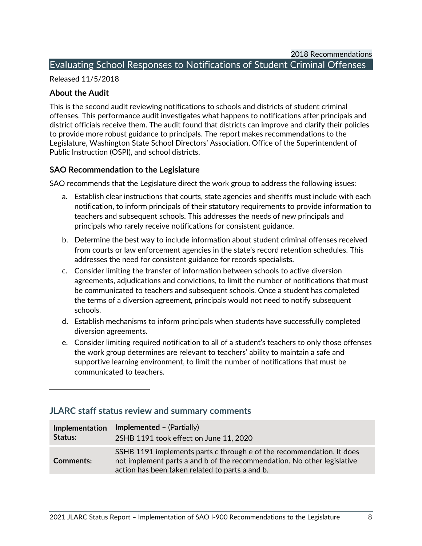#### <span id="page-11-0"></span>Evaluating School Responses to Notifications of Student Criminal Offenses

Released 11/5/2018

#### **About the Audit**

This is the second audit reviewing notifications to schools and districts of student criminal offenses. This performance audit investigates what happens to notifications after principals and district officials receive them. The audit found that districts can improve and clarify their policies to provide more robust guidance to principals. The report makes recommendations to the Legislature, Washington State School Directors' Association, Office of the Superintendent of Public Instruction (OSPI), and school districts.

#### **SAO Recommendation to the Legislature**

SAO recommends that the Legislature direct the work group to address the following issues:

- a. Establish clear instructions that courts, state agencies and sheriffs must include with each notification, to inform principals of their statutory requirements to provide information to teachers and subsequent schools. This addresses the needs of new principals and principals who rarely receive notifications for consistent guidance.
- b. Determine the best way to include information about student criminal offenses received from courts or law enforcement agencies in the state's record retention schedules. This addresses the need for consistent guidance for records specialists.
- c. Consider limiting the transfer of information between schools to active diversion agreements, adjudications and convictions, to limit the number of notifications that must be communicated to teachers and subsequent schools. Once a student has completed the terms of a diversion agreement, principals would not need to notify subsequent schools.
- d. Establish mechanisms to inform principals when students have successfully completed diversion agreements.
- e. Consider limiting required notification to all of a student's teachers to only those offenses the work group determines are relevant to teachers' ability to maintain a safe and supportive learning environment, to limit the number of notifications that must be communicated to teachers.

| Implementation<br>Status: | <b>Implemented</b> – $(Partially)$<br>2SHB 1191 took effect on June 11, 2020                                                                                                                        |
|---------------------------|-----------------------------------------------------------------------------------------------------------------------------------------------------------------------------------------------------|
|                           |                                                                                                                                                                                                     |
| <b>Comments:</b>          | SSHB 1191 implements parts c through e of the recommendation. It does<br>not implement parts a and b of the recommendation. No other legislative<br>action has been taken related to parts a and b. |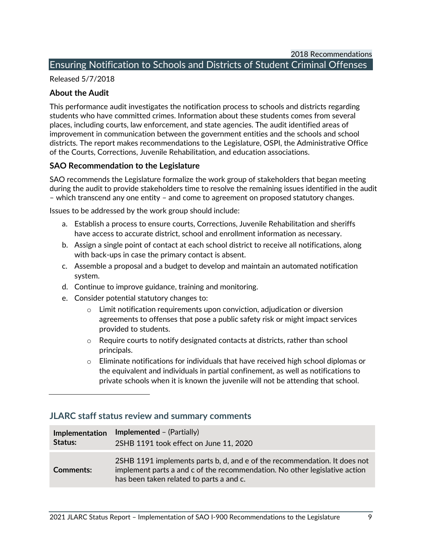#### <span id="page-12-0"></span>Ensuring Notification to Schools and Districts of Student Criminal Offenses

Released 5/7/2018

#### **About the Audit**

This performance audit investigates the notification process to schools and districts regarding students who have committed crimes. Information about these students comes from several places, including courts, law enforcement, and state agencies. The audit identified areas of improvement in communication between the government entities and the schools and school districts. The report makes recommendations to the Legislature, OSPI, the Administrative Office of the Courts, Corrections, Juvenile Rehabilitation, and education associations.

#### **SAO Recommendation to the Legislature**

SAO recommends the Legislature formalize the work group of stakeholders that began meeting during the audit to provide stakeholders time to resolve the remaining issues identified in the audit – which transcend any one entity – and come to agreement on proposed statutory changes.

Issues to be addressed by the work group should include:

- a. Establish a process to ensure courts, Corrections, Juvenile Rehabilitation and sheriffs have access to accurate district, school and enrollment information as necessary.
- b. Assign a single point of contact at each school district to receive all notifications, along with back-ups in case the primary contact is absent.
- c. Assemble a proposal and a budget to develop and maintain an automated notification system.
- d. Continue to improve guidance, training and monitoring.
- e. Consider potential statutory changes to:
	- $\circ$  Limit notification requirements upon conviction, adjudication or diversion agreements to offenses that pose a public safety risk or might impact services provided to students.
	- $\circ$  Require courts to notify designated contacts at districts, rather than school principals.
	- $\circ$  Eliminate notifications for individuals that have received high school diplomas or the equivalent and individuals in partial confinement, as well as notifications to private schools when it is known the juvenile will not be attending that school.

| Implementation   | <b>Implemented</b> – (Partially)                                                                                                                                                                    |
|------------------|-----------------------------------------------------------------------------------------------------------------------------------------------------------------------------------------------------|
| Status:          | 2SHB 1191 took effect on June 11, 2020                                                                                                                                                              |
| <b>Comments:</b> | 2SHB 1191 implements parts b, d, and e of the recommendation. It does not<br>implement parts a and c of the recommendation. No other legislative action<br>has been taken related to parts a and c. |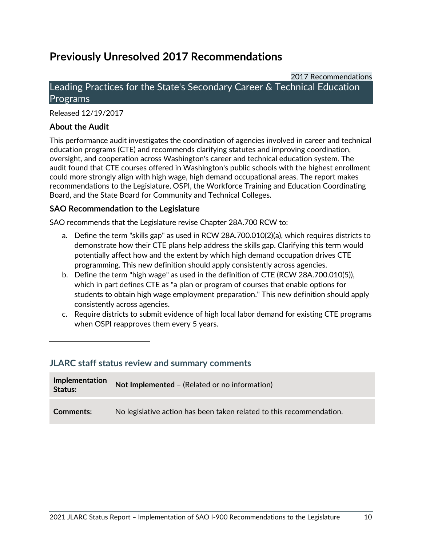## **Previously Unresolved 2017 Recommendations**

2017 Recommendations

#### <span id="page-13-0"></span>Leading Practices for the State's Secondary Career & Technical Education Programs

Released 12/19/2017

#### **About the Audit**

This performance audit investigates the coordination of agencies involved in career and technical education programs (CTE) and recommends clarifying statutes and improving coordination, oversight, and cooperation across Washington's career and technical education system. The audit found that CTE courses offered in Washington's public schools with the highest enrollment could more strongly align with high wage, high demand occupational areas. The report makes recommendations to the Legislature, OSPI, the Workforce Training and Education Coordinating Board, and the State Board for Community and Technical Colleges.

#### **SAO Recommendation to the Legislature**

SAO recommends that the Legislature revise Chapter 28A.700 RCW to:

- a. Define the term "skills gap" as used in RCW 28A.700.010(2)(a), which requires districts to demonstrate how their CTE plans help address the skills gap. Clarifying this term would potentially affect how and the extent by which high demand occupation drives CTE programming. This new definition should apply consistently across agencies.
- b. Define the term "high wage" as used in the definition of CTE (RCW 28A.700.010(5)), which in part defines CTE as "a plan or program of courses that enable options for students to obtain high wage employment preparation." This new definition should apply consistently across agencies.
- c. Require districts to submit evidence of high local labor demand for existing CTE programs when OSPI reapproves them every 5 years.

| <b>Implementation</b><br>Status: | Not Implemented - (Related or no information)                        |
|----------------------------------|----------------------------------------------------------------------|
| <b>Comments:</b>                 | No legislative action has been taken related to this recommendation. |